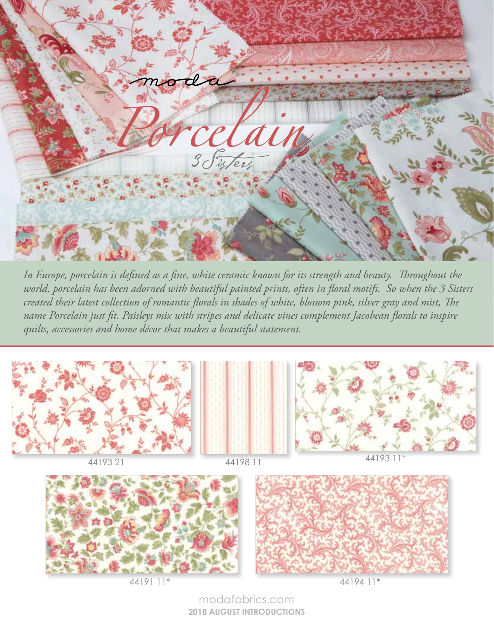

FEBRUARY 2019 DELIVERY *world, porcelain has been adorned with beautiful painted prints, often in floral motifs. So when the 3 Sisters In Europe, porcelain is defined as a fine, white ceramic known for its strength and beauty. Throughout the created their latest collection of romantic florals in shades of white, blossom pink, silver gray and mist, The name Porcelain just fit. Paisleys mix with stripes and delicate vines complement Jacobean florals to inspire quilts, accessories and home décor that makes a beautiful statement.*





modafabrics.com **2018 AUGUST INTRODUCTIONS**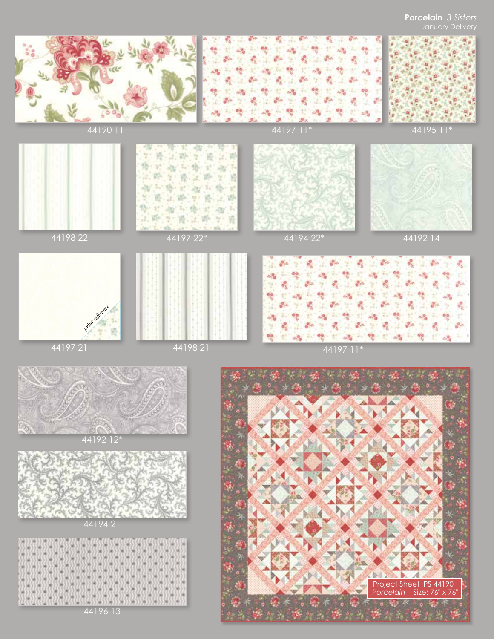## **Porcelain** *3 Sisters*







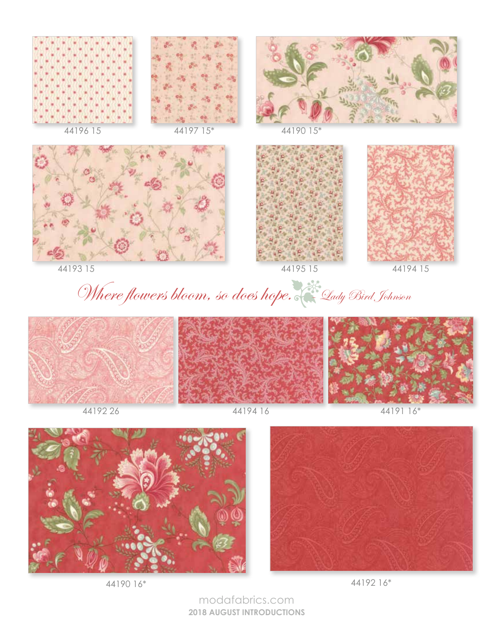













44193 15 44194 15 44195 15

Where flowers bloom, so does hope. Le Lady Bird Johnson





44190 16\*



44192 16\*

modafabrics.com **2018 AUGUST INTRODUCTIONS**